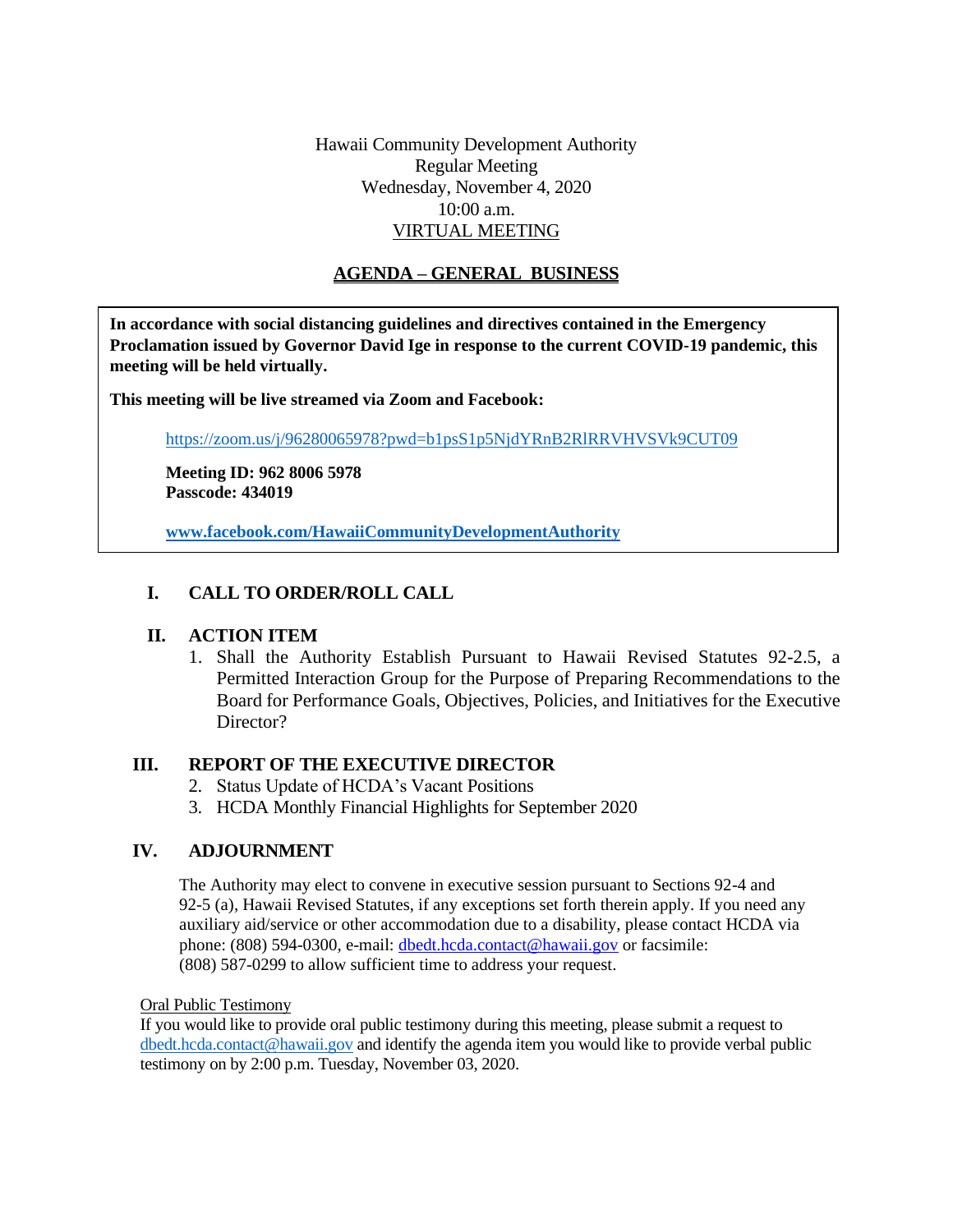Hawaii Community Development Authority Regular Meeting Wednesday, November 4, 2020 10:00 a.m. VIRTUAL MEETING

# **AGENDA – GENERAL BUSINESS**

**In accordance with social distancing guidelines and directives contained in the Emergency Proclamation issued by Governor David Ige in response to the current COVID-19 pandemic, this meeting will be held virtually.**

**This meeting will be live streamed via Zoom and Facebook:**

<https://zoom.us/j/96280065978?pwd=b1psS1p5NjdYRnB2RlRRVHVSVk9CUT09>

**Meeting ID: 962 8006 5978 Passcode: 434019**

**[www.facebook.com/HawaiiCommunityDevelopmentAuthority](http://www.facebook.com/HawaiiCommunityDevelopmentAuthority)**

## **I. CALL TO ORDER/ROLL CALL**

## **II. ACTION ITEM**

1. Shall the Authority Establish Pursuant to Hawaii Revised Statutes 92-2.5, a Permitted Interaction Group for the Purpose of Preparing Recommendations to the Board for Performance Goals, Objectives, Policies, and Initiatives for the Executive Director?

#### **III. REPORT OF THE EXECUTIVE DIRECTOR**

- 2. Status Update of HCDA's Vacant Positions
- 3. HCDA Monthly Financial Highlights for September 2020

### **IV. ADJOURNMENT**

The Authority may elect to convene in executive session pursuant to Sections 92-4 and 92-5 (a), Hawaii Revised Statutes, if any exceptions set forth therein apply. If you need any auxiliary aid/service or other accommodation due to a disability, please contact HCDA via phone: (808) 594-0300, e-mail: dbedt.hcda.contact@hawaii.gov or facsimile: (808) 587-0299 to allow sufficient time to address your request.

Oral Public Testimony

If you would like to provide oral public testimony during this meeting, please submit a request to [dbedt.hcda.contact@hawaii.gov](mailto:dbedt.hcda.contact@hawaii.gov) and identify the agenda item you would like to provide verbal public testimony on by 2:00 p.m. Tuesday, November 03, 2020.